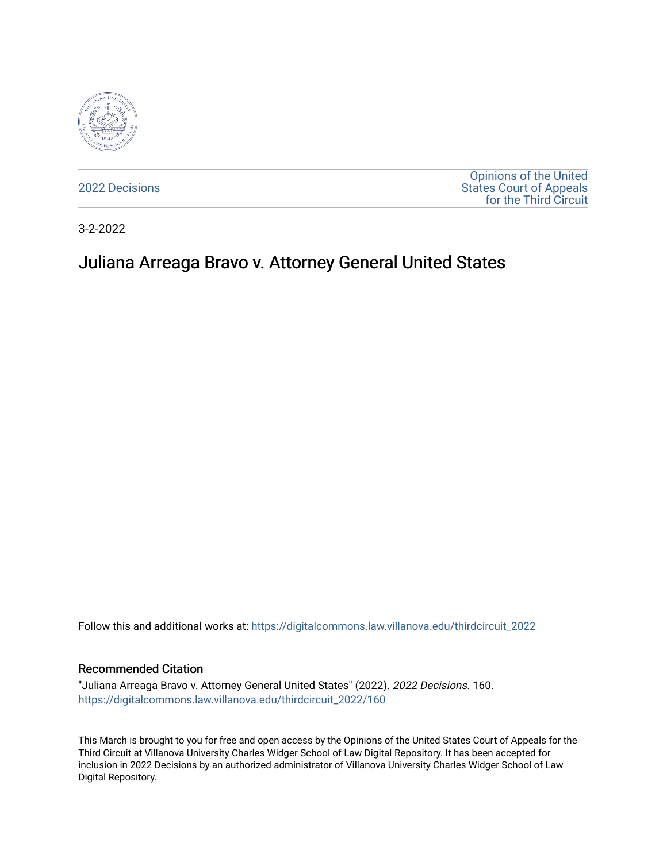

[2022 Decisions](https://digitalcommons.law.villanova.edu/thirdcircuit_2022)

[Opinions of the United](https://digitalcommons.law.villanova.edu/thirdcircuit)  [States Court of Appeals](https://digitalcommons.law.villanova.edu/thirdcircuit)  [for the Third Circuit](https://digitalcommons.law.villanova.edu/thirdcircuit) 

3-2-2022

# Juliana Arreaga Bravo v. Attorney General United States

Follow this and additional works at: [https://digitalcommons.law.villanova.edu/thirdcircuit\\_2022](https://digitalcommons.law.villanova.edu/thirdcircuit_2022?utm_source=digitalcommons.law.villanova.edu%2Fthirdcircuit_2022%2F160&utm_medium=PDF&utm_campaign=PDFCoverPages) 

#### Recommended Citation

"Juliana Arreaga Bravo v. Attorney General United States" (2022). 2022 Decisions. 160. [https://digitalcommons.law.villanova.edu/thirdcircuit\\_2022/160](https://digitalcommons.law.villanova.edu/thirdcircuit_2022/160?utm_source=digitalcommons.law.villanova.edu%2Fthirdcircuit_2022%2F160&utm_medium=PDF&utm_campaign=PDFCoverPages)

This March is brought to you for free and open access by the Opinions of the United States Court of Appeals for the Third Circuit at Villanova University Charles Widger School of Law Digital Repository. It has been accepted for inclusion in 2022 Decisions by an authorized administrator of Villanova University Charles Widger School of Law Digital Repository.